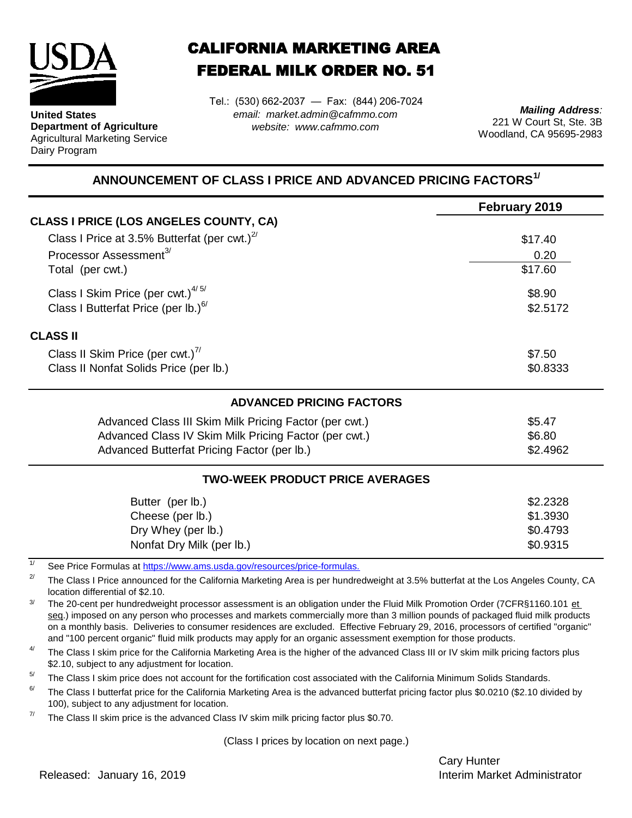

**United States Department of Agriculture** Agricultural Marketing Service Dairy Program

## CALIFORNIA MARKETING AREA FEDERAL MILK ORDER NO. 51

*email: market.admin@cafmmo.com website: www.cafmmo.com* Tel.: (530) 662-2037 — Fax: (844) 206-7024

*Mailing Address:* 221 W Court St, Ste. 3B Woodland, CA 95695-2983

## **ANNOUNCEMENT OF CLASS I PRICE AND ADVANCED PRICING FACTORS1/**

|                                                                         | February 2019 |  |  |
|-------------------------------------------------------------------------|---------------|--|--|
| <b>CLASS I PRICE (LOS ANGELES COUNTY, CA)</b>                           |               |  |  |
| Class I Price at 3.5% Butterfat (per cwt.) $^{2/}$                      | \$17.40       |  |  |
| Processor Assessment <sup>3/</sup>                                      | 0.20          |  |  |
| Total (per cwt.)                                                        | \$17.60       |  |  |
| Class I Skim Price (per cwt.) $4/5/$                                    | \$8.90        |  |  |
| Class I Butterfat Price (per lb.) $^{6/}$                               | \$2.5172      |  |  |
| <b>CLASS II</b>                                                         |               |  |  |
| Class II Skim Price (per cwt.) <sup>7/</sup>                            | \$7.50        |  |  |
| Class II Nonfat Solids Price (per lb.)                                  | \$0.8333      |  |  |
| <b>ADVANCED PRICING FACTORS</b>                                         |               |  |  |
| Advanced Class III Skim Milk Pricing Factor (per cwt.)                  | \$5.47        |  |  |
| Advanced Class IV Skim Milk Pricing Factor (per cwt.)                   | \$6.80        |  |  |
| Advanced Butterfat Pricing Factor (per lb.)                             | \$2.4962      |  |  |
| <b>TWO-WEEK PRODUCT PRICE AVERAGES</b>                                  |               |  |  |
| Butter (per lb.)                                                        | \$2.2328      |  |  |
| Cheese (per lb.)                                                        | \$1.3930      |  |  |
| Dry Whey (per lb.)                                                      | \$0.4793      |  |  |
| Nonfat Dry Milk (per lb.)                                               | \$0.9315      |  |  |
| See Price Formulas at https://www.ams.usda.gov/resources/price-formulas |               |  |  |

[See Price Formulas at h](https://www.ams.usda.gov/resources/price-formulas)ttps://www.ams.usda.gov/resources/price-formulas.

2/ The Class I Price announced for the California Marketing Area is per hundredweight at 3.5% butterfat at the Los Angeles County, CA location differential of \$2.10.

3/ The 20-cent per hundredweight processor assessment is an obligation under the Fluid Milk Promotion Order (7CFR§1160.101 et seg.) imposed on any person who processes and markets commercially more than 3 million pounds of packaged fluid milk products on a monthly basis. Deliveries to consumer residences are excluded. Effective February 29, 2016, processors of certified "organic" and "100 percent organic" fluid milk products may apply for an organic assessment exemption for those products.

4/ The Class I skim price for the California Marketing Area is the higher of the advanced Class III or IV skim milk pricing factors plus \$2.10, subject to any adjustment for location.

 $5/$ The Class I skim price does not account for the fortification cost associated with the California Minimum Solids Standards.

6/ The Class I butterfat price for the California Marketing Area is the advanced butterfat pricing factor plus \$0.0210 (\$2.10 divided by 100), subject to any adjustment for location.

7/ The Class II skim price is the advanced Class IV skim milk pricing factor plus \$0.70.

(Class I prices by location on next page.)